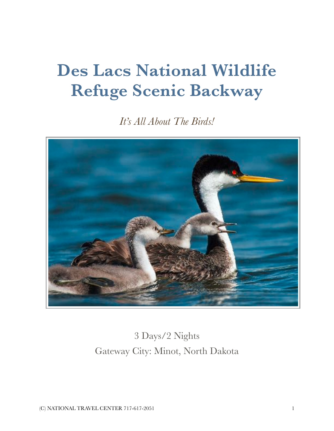# **Des Lacs National Wildlife Refuge Scenic Backway**

*It's All About The Birds!* 



3 Days/2 Nights Gateway City: Minot, North Dakota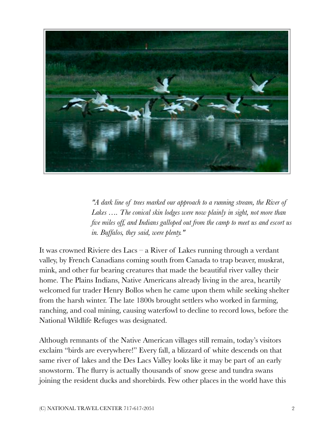

*"A dark line of trees marked our approach to a running stream, the River of* Lakes .... The conical skin lodges were now plainly in sight, not more than *five miles off, and Indians galloped out from the camp to meet us and escort us in. Buffalos, they said, were plenty."*

It was crowned Riviere des Lacs – a River of Lakes running through a verdant valley, by French Canadians coming south from Canada to trap beaver, muskrat, mink, and other fur bearing creatures that made the beautiful river valley their home. The Plains Indians, Native Americans already living in the area, heartily welcomed fur trader Henry Bollos when he came upon them while seeking shelter from the harsh winter. The late 1800s brought settlers who worked in farming, ranching, and coal mining, causing waterfowl to decline to record lows, before the National Wildlife Refuges was designated.

Although remnants of the Native American villages still remain, today's visitors exclaim "birds are everywhere!" Every fall, a blizzard of white descends on that same river of lakes and the Des Lacs Valley looks like it may be part of an early snowstorm. The flurry is actually thousands of snow geese and tundra swans joining the resident ducks and shorebirds. Few other places in the world have this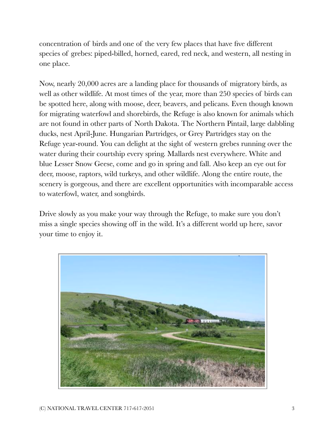concentration of birds and one of the very few places that have five different species of grebes: piped-billed, horned, eared, red neck, and western, all nesting in one place.

Now, nearly 20,000 acres are a landing place for thousands of migratory birds, as well as other wildlife. At most times of the year, more than 250 species of birds can be spotted here, along with moose, deer, beavers, and pelicans. Even though known for migrating waterfowl and shorebirds, the Refuge is also known for animals which are not found in other parts of North Dakota. The Northern Pintail, large dabbling ducks, nest April-June. Hungarian Partridges, or Grey Partridges stay on the Refuge year-round. You can delight at the sight of western grebes running over the water during their courtship every spring. Mallards nest everywhere. White and blue Lesser Snow Geese, come and go in spring and fall. Also keep an eye out for deer, moose, raptors, wild turkeys, and other wildlife. Along the entire route, the scenery is gorgeous, and there are excellent opportunities with incomparable access to waterfowl, water, and songbirds.

Drive slowly as you make your way through the Refuge, to make sure you don't miss a single species showing off in the wild. It's a different world up here, savor your time to enjoy it.

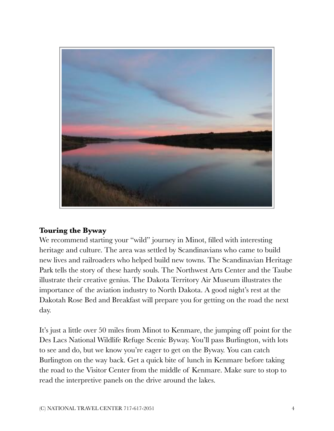

## **Touring the Byway**

We recommend starting your "wild" journey in Minot, filled with interesting heritage and culture. The area was settled by Scandinavians who came to build new lives and railroaders who helped build new towns. The Scandinavian Heritage Park tells the story of these hardy souls. The Northwest Arts Center and the Taube illustrate their creative genius. The Dakota Territory Air Museum illustrates the importance of the aviation industry to North Dakota. A good night's rest at the Dakotah Rose Bed and Breakfast will prepare you for getting on the road the next day.

It's just a little over 50 miles from Minot to Kenmare, the jumping off point for the Des Lacs National Wildlife Refuge Scenic Byway. You'll pass Burlington, with lots to see and do, but we know you're eager to get on the Byway. You can catch Burlington on the way back. Get a quick bite of lunch in Kenmare before taking the road to the Visitor Center from the middle of Kenmare. Make sure to stop to read the interpretive panels on the drive around the lakes.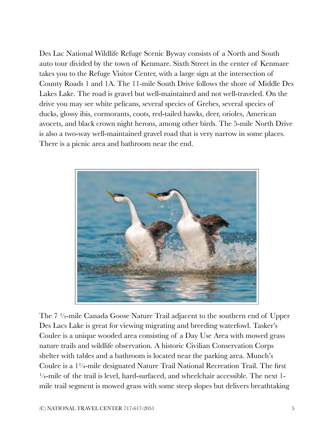Des Lac National Wildlife Refuge Scenic Byway consists of a North and South auto tour divided by the town of Kenmare. Sixth Street in the center of Kenmare takes you to the Refuge Visitor Center, with a large sign at the intersection of County Roads 1 and 1A. The 11-mile South Drive follows the shore of Middle Des Lakes Lake. The road is gravel but well-maintained and not well-traveled. On the drive you may see white pelicans, several species of Grebes, several species of ducks, glossy ibis, cormorants, coots, red-tailed hawks, deer, orioles, American avocets, and black crown night herons, among other birds. The 5-mile North Drive is also a two-way well-maintained gravel road that is very narrow in some places. There is a picnic area and bathroom near the end.



The 7 ½-mile Canada Goose Nature Trail adjacent to the southern end of Upper Des Lacs Lake is great for viewing migrating and breeding waterfowl. Tasker's Coulee is a unique wooded area consisting of a Day Use Area with mowed grass nature trails and wildlife observation. A historic Civilian Conservation Corps shelter with tables and a bathroom is located near the parking area. Munch's Coulee is a 1¼-mile designated Nature Trail National Recreation Trail. The first ¼-mile of the trail is level, hard-surfaced, and wheelchair accessible. The next 1 mile trail segment is mowed grass with some steep slopes but delivers breathtaking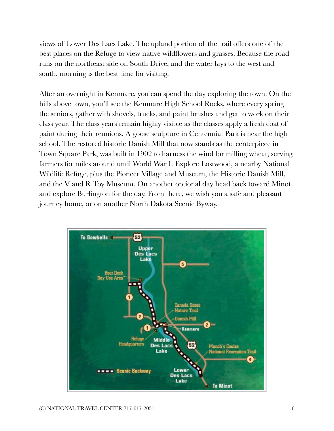views of Lower Des Lacs Lake. The upland portion of the trail offers one of the best places on the Refuge to view native wildflowers and grasses. Because the road runs on the northeast side on South Drive, and the water lays to the west and south, morning is the best time for visiting.

After an overnight in Kenmare, you can spend the day exploring the town. On the hills above town, you'll see the Kenmare High School Rocks, where every spring the seniors, gather with shovels, trucks, and paint brushes and get to work on their class year. The class years remain highly visible as the classes apply a fresh coat of paint during their reunions. A goose sculpture in Centennial Park is near the high school. The restored historic Danish Mill that now stands as the centerpiece in Town Square Park, was built in 1902 to harness the wind for milling wheat, serving farmers for miles around until World War I. Explore Lostwood, a nearby National Wildlife Refuge, plus the Pioneer Village and Museum, the Historic Danish Mill, and the V and R Toy Museum. On another optional day head back toward Minot and explore Burlington for the day. From there, we wish you a safe and pleasant journey home, or on another North Dakota Scenic Byway.

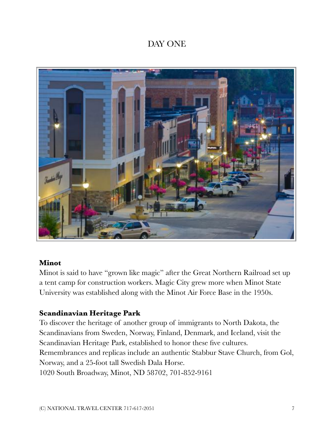# DAY ONE



## **Minot**

Minot is said to have "grown like magic" after the Great Northern Railroad set up a tent camp for construction workers. Magic City grew more when Minot State University was established along with the Minot Air Force Base in the 1950s.

# **Scandinavian Heritage Park**

To discover the heritage of another group of immigrants to North Dakota, the Scandinavians from Sweden, Norway, Finland, Denmark, and Iceland, visit the Scandinavian Heritage Park, established to honor these five cultures. Remembrances and replicas include an authentic Stabbur Stave Church, from Gol, Norway, and a 25-foot tall Swedish Dala Horse. 1020 South Broadway, Minot, ND 58702, 701-852-9161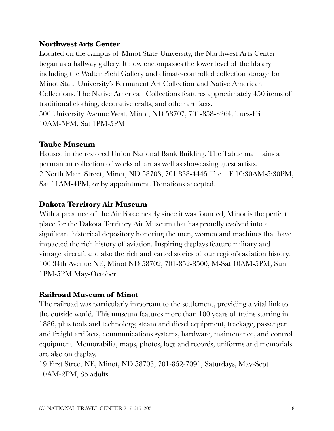# **Northwest Arts Center**

Located on the campus of Minot State University, the Northwest Arts Center began as a hallway gallery. It now encompasses the lower level of the library including the Walter Piehl Gallery and climate-controlled collection storage for Minot State University's Permanent Art Collection and Native American Collections. The Native American Collections features approximately 450 items of traditional clothing, decorative crafts, and other artifacts. 500 University Avenue West, Minot, ND 58707, 701-858-3264, Tues-Fri 10AM-5PM, Sat 1PM-5PM

# **Taube Museum**

Housed in the restored Union National Bank Building, The Tabue maintains a permanent collection of works of art as well as showcasing guest artists. 2 North Main Street, Minot, ND 58703, 701 838-4445 Tue – F 10:30AM-5:30PM, Sat 11AM-4PM, or by appointment. Donations accepted.

# **Dakota Territory Air Museum**

With a presence of the Air Force nearly since it was founded, Minot is the perfect place for the Dakota Territory Air Museum that has proudly evolved into a significant historical depository honoring the men, women and machines that have impacted the rich history of aviation. Inspiring displays feature military and vintage aircraft and also the rich and varied stories of our region's aviation history. 100 34th Avenue NE, Minot ND 58702, 701-852-8500, M-Sat 10AM-5PM, Sun 1PM-5PM May-October

# **Railroad Museum of Minot**

The railroad was particularly important to the settlement, providing a vital link to the outside world. This museum features more than 100 years of trains starting in 1886, plus tools and technology, steam and diesel equipment, trackage, passenger and freight artifacts, communications systems, hardware, maintenance, and control equipment. Memorabilia, maps, photos, logs and records, uniforms and memorials are also on display.

19 First Street NE, Minot, ND 58703, 701-852-7091, Saturdays, May-Sept 10AM-2PM, \$5 adults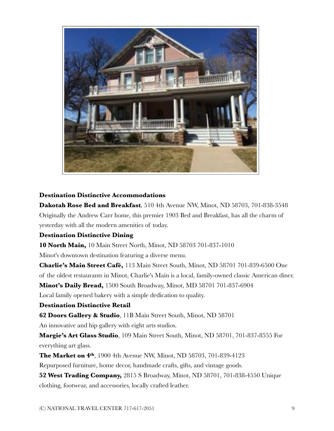

#### **Destination Distinctive Accommodations**

**Dakotah Rose Bed and Breakfast***,* 510 4th Avenue NW, Minot, ND 58703, 701-838-3548 Originally the Andrew Carr home, this premier 1903 Bed and Breakfast, has all the charm of yesterday with all the modern amenities of today.

#### **Destination Distinctive Dining**

**10 North Main,** 10 Main Street North, Minot, ND 58703 701-837-1010

Minot's downtown destination featuring a diverse menu.

**Charlie's Main Street Café,** 113 Main Street South, Minot, ND 58701 701-839-6500 One of the oldest restaurants in Minot, Charlie's Main is a local, family-owned classic American diner. **Minot's Daily Bread,** 1500 South Broadway, Minot, MD 58701 701-837-6904

Local family opened bakery with a simple dedication to quality.

#### **Destination Distinctive Retail**

**62 Doors Gallery & Studio**, 11B Main Street South, Minot, ND 58701

An innovative and hip gallery with eight arts studios.

**Margie's Art Glass Studio**, 109 Main Street South, Minot, ND 58701, 701-837-8555 For everything art glass.

**The Market on 4th**, 1900 4th Avenue NW, Minot, ND 58703, 701-839-4123

Repurposed furniture, home decor, handmade crafts, gifts, and vintage goods.

**52 West Trading Company,** 2815 S Broadway, Minot, ND 58701, 701-838-4550 Unique clothing, footwear, and accessories, locally crafted leather.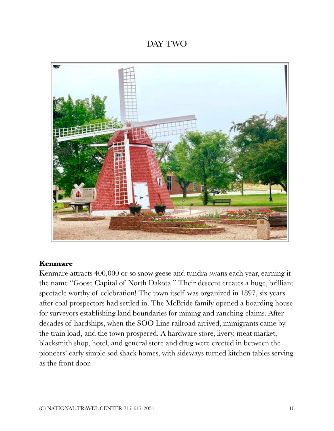# DAY TWO



# **Kenmare**

Kenmare attracts 400,000 or so snow geese and tundra swans each year, earning it the name "Goose Capital of North Dakota." Their descent creates a huge, brilliant spectacle worthy of celebration! The town itself was organized in 1897, six years after coal prospectors had settled in. The McBride family opened a boarding house for surveyors establishing land boundaries for mining and ranching claims. After decades of hardships, when the SOO Line railroad arrived, immigrants came by the train load, and the town prospered. A hardware store, livery, meat market, blacksmith shop, hotel, and general store and drug were erected in between the pioneers' early simple sod shack homes, with sideways turned kitchen tables serving as the front door.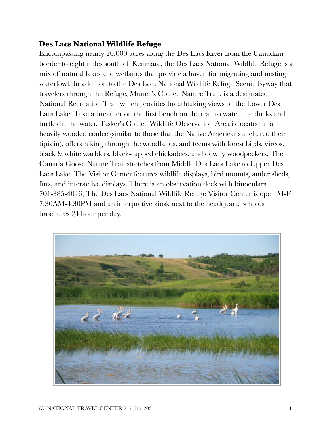# **Des Lacs National Wildlife Refuge**

Encompassing nearly 20,000 acres along the Des Lacs River from the Canadian border to eight miles south of Kenmare, the Des Lacs National Wildlife Refuge is a mix of natural lakes and wetlands that provide a haven for migrating and nesting waterfowl. In addition to the Des Lacs National Wildlife Refuge Scenic Byway that travelers through the Refuge, Munch's Coulee Nature Trail, is a designated National Recreation Trail which provides breathtaking views of the Lower Des Lacs Lake. Take a breather on the first bench on the trail to watch the ducks and turtles in the water. Tasker's Coulee Wildlife Observation Area is located in a heavily wooded coulee (similar to those that the Native Americans sheltered their tipis in), offers hiking through the woodlands, and teems with forest birds, vireos, black & white warblers, black-capped chickadees, and downy woodpeckers. The Canada Goose Nature Trail stretches from Middle Des Lacs Lake to Upper Des Lacs Lake. The Visitor Center features wildlife displays, bird mounts, antler sheds, furs, and interactive displays. There is an observation deck with binoculars. 701-385-4046, The Des Lacs National Wildlife Refuge Visitor Center is open M-F 7:30AM-4:30PM and an interpretive kiosk next to the headquarters holds brochures 24 hour per day.

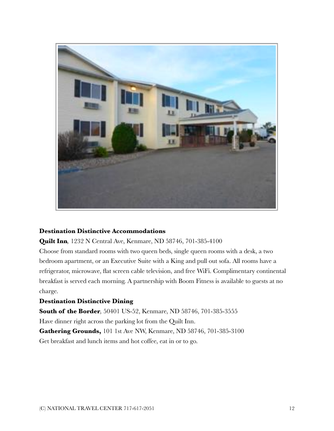

#### **Destination Distinctive Accommodations**

**Quilt Inn***,* 1232 N Central Ave, Kenmare, ND 58746, 701-385-4100

Choose from standard rooms with two queen beds, single queen rooms with a desk, a two bedroom apartment, or an Executive Suite with a King and pull out sofa. All rooms have a refrigerator, microwave, flat screen cable television, and free WiFi. Complimentary continental breakfast is served each morning. A partnership with Boom Fitness is available to guests at no charge.

#### **Destination Distinctive Dining**

**South of the Border***,* 50401 US-52, Kenmare, ND 58746, 701-385-3555 Have dinner right across the parking lot from the Quilt Inn. **Gathering Grounds,** 101 1st Ave NW, Kenmare, ND 58746, 701-385-3100

Get breakfast and lunch items and hot coffee, eat in or to go.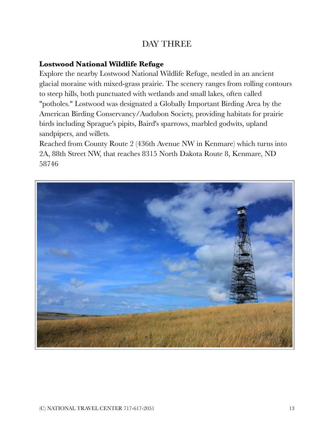# DAY THREE

# **Lostwood National Wildlife Refuge**

Explore the nearby Lostwood National Wildlife Refuge, nestled in an ancient glacial moraine with mixed-grass prairie. The scenery ranges from rolling contours to steep hills, both punctuated with wetlands and small lakes, often called "potholes." Lostwood was designated a Globally Important Birding Area by the American Birding Conservancy/Audubon Society, providing habitats for prairie birds including Sprague's pipits, Baird's sparrows, marbled godwits, upland sandpipers, and willets.

Reached from County Route 2 (436th Avenue NW in Kenmare) which turns into 2A, 88th Street NW, that reaches 8315 North Dakota Route 8, Kenmare, ND 58746

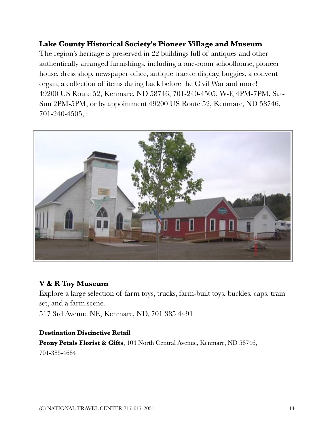# **Lake County Historical Society's Pioneer Village and Museum**

The region's heritage is preserved in 22 buildings full of antiques and other authentically arranged furnishings, including a one-room schoolhouse, pioneer house, dress shop, newspaper office, antique tractor display, buggies, a convent organ, a collection of items dating back before the Civil War and more! 49200 US Route 52, Kenmare, ND 58746, 701-240-4505, W-F, 4PM-7PM, Sat-Sun 2PM-5PM, or by appointment 49200 US Route 52, Kenmare, ND 58746, 701-240-4505, :



## **V & R Toy Museum**

Explore a large selection of farm toys, trucks, farm-built toys, buckles, caps, train set, and a farm scene. 517 3rd Avenue NE, Kenmare, ND, 701 385 4491

#### **Destination Distinctive Retail**

**Peony Petals Florist & Gifts**, 104 North Central Avenue, Kenmare, ND 58746, 701-385-4684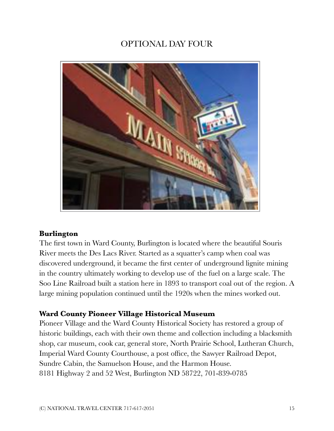# OPTIONAL DAY FOUR



## **Burlington**

The first town in Ward County, Burlington is located where the beautiful Souris River meets the Des Lacs River. Started as a squatter's camp when coal was discovered underground, it became the first center of underground lignite mining in the country ultimately working to develop use of the fuel on a large scale. The Soo Line Railroad built a station here in 1893 to transport coal out of the region. A large mining population continued until the 1920s when the mines worked out.

## **Ward County Pioneer Village Historical Museum**

Pioneer Village and the Ward County Historical Society has restored a group of historic buildings, each with their own theme and collection including a blacksmith shop, car museum, cook car, general store, North Prairie School, Lutheran Church, Imperial Ward County Courthouse, a post office, the Sawyer Railroad Depot, Sundre Cabin, the Samuelson House, and the Harmon House. 8181 Highway 2 and 52 West, Burlington ND 58722, 701-839-0785